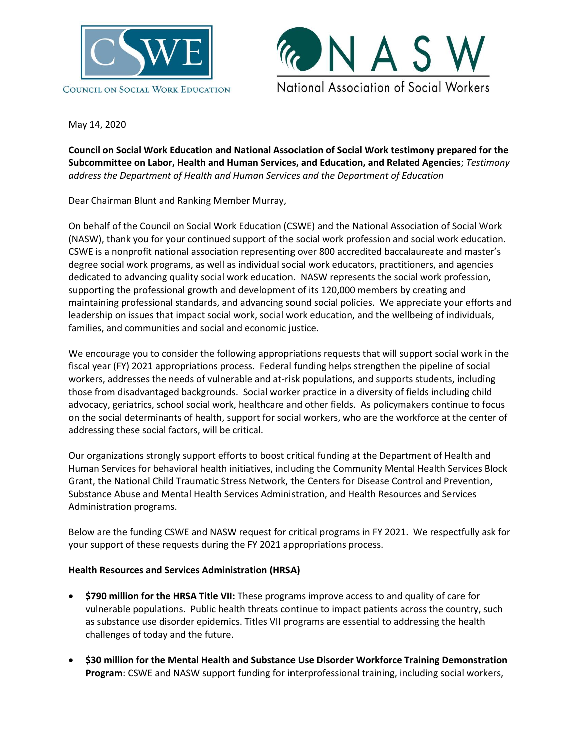



May 14, 2020

**Council on Social Work Education and National Association of Social Work testimony prepared for the Subcommittee on Labor, Health and Human Services, and Education, and Related Agencies**; *Testimony address the Department of Health and Human Services and the Department of Education*

Dear Chairman Blunt and Ranking Member Murray,

On behalf of the Council on Social Work Education (CSWE) and the National Association of Social Work (NASW), thank you for your continued support of the social work profession and social work education. CSWE is a nonprofit national association representing over 800 accredited baccalaureate and master's degree social work programs, as well as individual social work educators, practitioners, and agencies dedicated to advancing quality social work education. NASW represents the social work profession, supporting the professional growth and development of its 120,000 members by creating and maintaining professional standards, and advancing sound social policies. We appreciate your efforts and leadership on issues that impact social work, social work education, and the wellbeing of individuals, families, and communities and social and economic justice.

We encourage you to consider the following appropriations requests that will support social work in the fiscal year (FY) 2021 appropriations process. Federal funding helps strengthen the pipeline of social workers, addresses the needs of vulnerable and at-risk populations, and supports students, including those from disadvantaged backgrounds. Social worker practice in a diversity of fields including child advocacy, geriatrics, school social work, healthcare and other fields. As policymakers continue to focus on the social determinants of health, support for social workers, who are the workforce at the center of addressing these social factors, will be critical.

Our organizations strongly support efforts to boost critical funding at the Department of Health and Human Services for behavioral health initiatives, including the Community Mental Health Services Block Grant, the National Child Traumatic Stress Network, the Centers for Disease Control and Prevention, Substance Abuse and Mental Health Services Administration, and Health Resources and Services Administration programs.

Below are the funding CSWE and NASW request for critical programs in FY 2021. We respectfully ask for your support of these requests during the FY 2021 appropriations process.

## **Health Resources and Services Administration (HRSA)**

- **\$790 million for the HRSA Title VII:** These programs improve access to and quality of care for vulnerable populations. Public health threats continue to impact patients across the country, such as substance use disorder epidemics. Titles VII programs are essential to addressing the health challenges of today and the future.
- **\$30 million for the Mental Health and Substance Use Disorder Workforce Training Demonstration Program**: CSWE and NASW support funding for interprofessional training, including social workers,